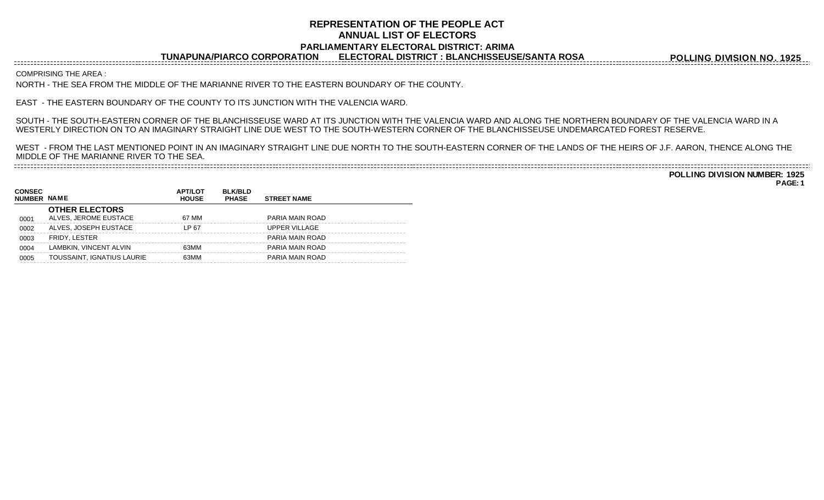## **REPRESENTATION OF THE PEOPLE ACT ANNUAL LIST OF ELECTORS PARLIAMENTARY ELECTORAL DISTRICT: ARIMA**

**TUNAPUNA/PIARCO CORPORATION ELECTORAL DISTRICT : BLANCHISSEUSE/SANTA ROSA**

**POLLING DIVISION NO. 1925**

COMPRISING THE AREA :

NORTH - THE SEA FROM THE MIDDLE OF THE MARIANNE RIVER TO THE EASTERN BOUNDARY OF THE COUNTY.

EAST - THE EASTERN BOUNDARY OF THE COUNTY TO ITS JUNCTION WITH THE VALENCIA WARD.

SOUTH - THE SOUTH-EASTERN CORNER OF THE BLANCHISSEUSE WARD AT ITS JUNCTION WITH THE VALENCIA WARD AND ALONG THE NORTHERN BOUNDARY OF THE VALENCIA WARD IN A WESTERLY DIRECTION ON TO AN IMAGINARY STRAIGHT LINE DUE WEST TO THE SOUTH-WESTERN CORNER OF THE BLANCHISSEUSE UNDEMARCATED FOREST RESERVE.

WEST - FROM THE LAST MENTIONED POINT IN AN IMAGINARY STRAIGHT LINE DUE NORTH TO THE SOUTH-EASTERN CORNER OF THE LANDS OF THE HEIRS OF J.F. AARON, THENCE ALONG THE MIDDLE OF THE MARIANNE RIVER TO THE SEA. 

**POLLING DIVISION NUMBER: 1925 PAGE: 1**

| <b>CONSEC</b><br><b>NUMBER NAME</b> |                                                | <b>APT/LOT</b><br><b>HOUSE</b> | <b>BLK/BLD</b><br><b>PHASE</b> | <b>STREET NAME</b> |
|-------------------------------------|------------------------------------------------|--------------------------------|--------------------------------|--------------------|
| 0001                                | <b>OTHER ELECTORS</b><br>ALVES. JEROME EUSTACE | 67 MM                          |                                | PARIA MAIN ROAD    |
| 0002                                | ALVES. JOSEPH EUSTACE                          | LP 67                          |                                | UPPER VILLAGE      |
| 0003                                | FRIDY, LESTER                                  |                                |                                | PARIA MAIN ROAD    |
| 0004                                | LAMBKIN, VINCENT ALVIN                         | 63MM                           |                                | PARIA MAIN ROAD    |
| 0005                                | TOUSSAINT, IGNATIUS LAURIE                     | 63MM                           |                                | PARIA MAIN ROAD    |